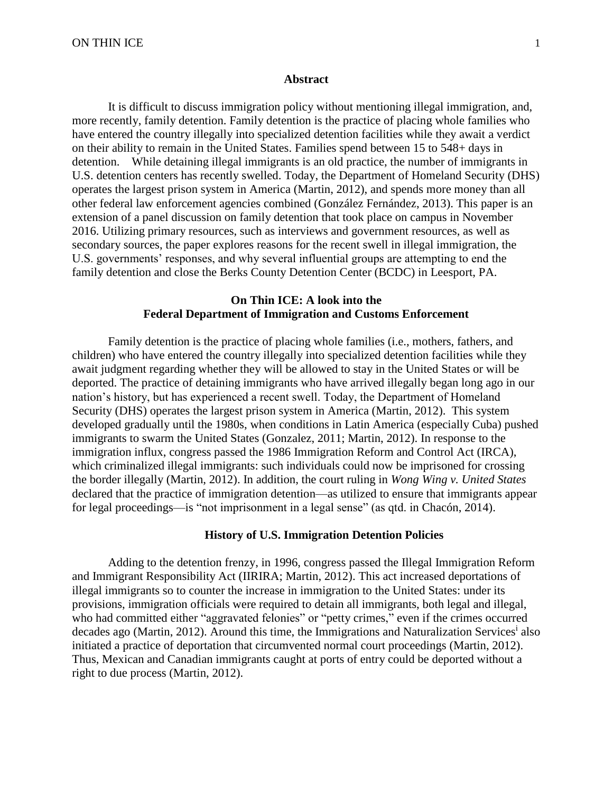#### **Abstract**

It is difficult to discuss immigration policy without mentioning illegal immigration, and, more recently, family detention. Family detention is the practice of placing whole families who have entered the country illegally into specialized detention facilities while they await a verdict on their ability to remain in the United States. Families spend between 15 to 548+ days in detention. While detaining illegal immigrants is an old practice, the number of immigrants in U.S. detention centers has recently swelled. Today, the Department of Homeland Security (DHS) operates the largest prison system in America (Martin, 2012), and spends more money than all other federal law enforcement agencies combined (González Fernández, 2013). This paper is an extension of a panel discussion on family detention that took place on campus in November 2016. Utilizing primary resources, such as interviews and government resources, as well as secondary sources, the paper explores reasons for the recent swell in illegal immigration, the U.S. governments' responses, and why several influential groups are attempting to end the family detention and close the Berks County Detention Center (BCDC) in Leesport, PA.

# **On Thin ICE: A look into the Federal Department of Immigration and Customs Enforcement**

Family detention is the practice of placing whole families (i.e., mothers, fathers, and children) who have entered the country illegally into specialized detention facilities while they await judgment regarding whether they will be allowed to stay in the United States or will be deported. The practice of detaining immigrants who have arrived illegally began long ago in our nation's history, but has experienced a recent swell. Today, the Department of Homeland Security (DHS) operates the largest prison system in America (Martin, 2012). This system developed gradually until the 1980s, when conditions in Latin America (especially Cuba) pushed immigrants to swarm the United States (Gonzalez, 2011; Martin, 2012). In response to the immigration influx, congress passed the 1986 Immigration Reform and Control Act (IRCA), which criminalized illegal immigrants: such individuals could now be imprisoned for crossing the border illegally (Martin, 2012). In addition, the court ruling in *Wong Wing v. United States*  declared that the practice of immigration detention—as utilized to ensure that immigrants appear for legal proceedings—is "not imprisonment in a legal sense" (as qtd. in Chacón, 2014).

#### **History of U.S. Immigration Detention Policies**

Adding to the detention frenzy, in 1996, congress passed the Illegal Immigration Reform and Immigrant Responsibility Act (IIRIRA; Martin, 2012). This act increased deportations of illegal immigrants so to counter the increase in immigration to the United States: under its provisions, immigration officials were required to detain all immigrants, both legal and illegal, who had committed either "aggravated felonies" or "petty crimes," even if the crimes occurred decades ago (Martin, 2012). Around this time, the Immigrations and Naturalization Services<sup>i</sup> also initiated a practice of deportation that circumvented normal court proceedings (Martin, 2012). Thus, Mexican and Canadian immigrants caught at ports of entry could be deported without a right to due process (Martin, 2012).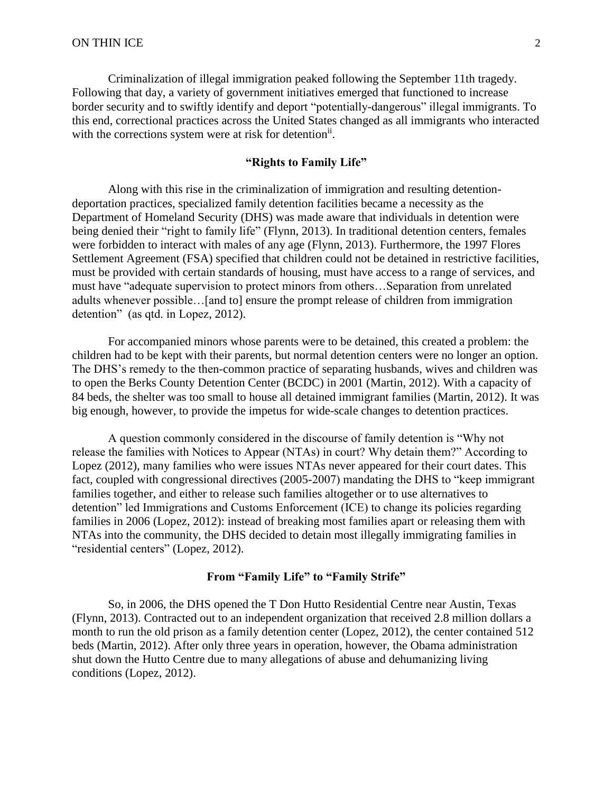Criminalization of illegal immigration peaked following the September 11th tragedy. Following that day, a variety of government initiatives emerged that functioned to increase border security and to swiftly identify and deport "potentially-dangerous" illegal immigrants. To this end, correctional practices across the United States changed as all immigrants who interacted with the corrections system were at risk for detention<sup>ii</sup>.

# **"Rights to Family Life"**

Along with this rise in the criminalization of immigration and resulting detentiondeportation practices, specialized family detention facilities became a necessity as the Department of Homeland Security (DHS) was made aware that individuals in detention were being denied their "right to family life" (Flynn, 2013). In traditional detention centers, females were forbidden to interact with males of any age (Flynn, 2013). Furthermore, the 1997 Flores Settlement Agreement (FSA) specified that children could not be detained in restrictive facilities, must be provided with certain standards of housing, must have access to a range of services, and must have "adequate supervision to protect minors from others…Separation from unrelated adults whenever possible…[and to] ensure the prompt release of children from immigration detention" (as qtd. in Lopez, 2012).

For accompanied minors whose parents were to be detained, this created a problem: the children had to be kept with their parents, but normal detention centers were no longer an option. The DHS's remedy to the then-common practice of separating husbands, wives and children was to open the Berks County Detention Center (BCDC) in 2001 (Martin, 2012). With a capacity of 84 beds, the shelter was too small to house all detained immigrant families (Martin, 2012). It was big enough, however, to provide the impetus for wide-scale changes to detention practices.

A question commonly considered in the discourse of family detention is "Why not release the families with Notices to Appear (NTAs) in court? Why detain them?" According to Lopez (2012), many families who were issues NTAs never appeared for their court dates. This fact, coupled with congressional directives (2005-2007) mandating the DHS to "keep immigrant families together, and either to release such families altogether or to use alternatives to detention" led Immigrations and Customs Enforcement (ICE) to change its policies regarding families in 2006 (Lopez, 2012): instead of breaking most families apart or releasing them with NTAs into the community, the DHS decided to detain most illegally immigrating families in "residential centers" (Lopez, 2012).

## **From "Family Life" to "Family Strife"**

So, in 2006, the DHS opened the T Don Hutto Residential Centre near Austin, Texas (Flynn, 2013). Contracted out to an independent organization that received 2.8 million dollars a month to run the old prison as a family detention center (Lopez, 2012), the center contained 512 beds (Martin, 2012). After only three years in operation, however, the Obama administration shut down the Hutto Centre due to many allegations of abuse and dehumanizing living conditions (Lopez, 2012).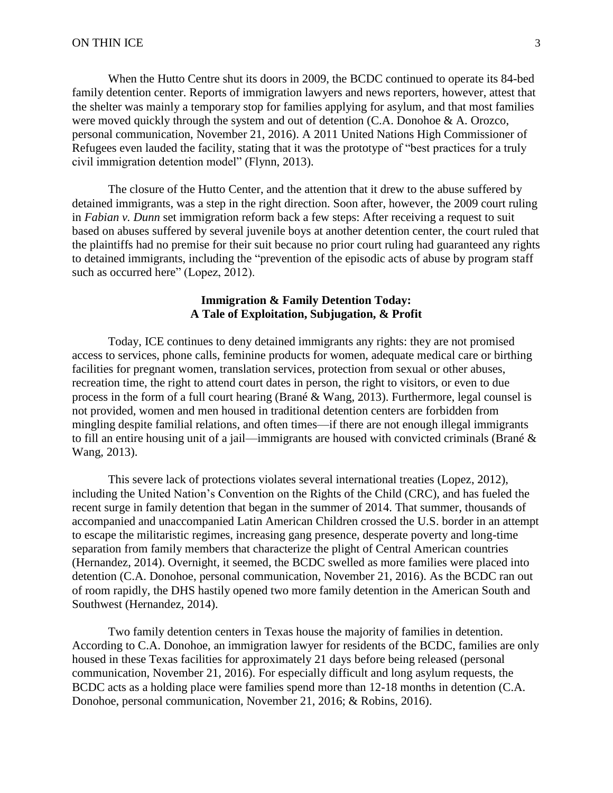When the Hutto Centre shut its doors in 2009, the BCDC continued to operate its 84-bed family detention center. Reports of immigration lawyers and news reporters, however, attest that the shelter was mainly a temporary stop for families applying for asylum, and that most families were moved quickly through the system and out of detention (C.A. Donohoe & A. Orozco, personal communication, November 21, 2016). A 2011 United Nations High Commissioner of Refugees even lauded the facility, stating that it was the prototype of "best practices for a truly civil immigration detention model" (Flynn, 2013).

The closure of the Hutto Center, and the attention that it drew to the abuse suffered by detained immigrants, was a step in the right direction. Soon after, however, the 2009 court ruling in *Fabian v. Dunn* set immigration reform back a few steps: After receiving a request to suit based on abuses suffered by several juvenile boys at another detention center, the court ruled that the plaintiffs had no premise for their suit because no prior court ruling had guaranteed any rights to detained immigrants, including the "prevention of the episodic acts of abuse by program staff such as occurred here" (Lopez, 2012).

## **Immigration & Family Detention Today: A Tale of Exploitation, Subjugation, & Profit**

Today, ICE continues to deny detained immigrants any rights: they are not promised access to services, phone calls, feminine products for women, adequate medical care or birthing facilities for pregnant women, translation services, protection from sexual or other abuses, recreation time, the right to attend court dates in person, the right to visitors, or even to due process in the form of a full court hearing (Brané & Wang, 2013). Furthermore, legal counsel is not provided, women and men housed in traditional detention centers are forbidden from mingling despite familial relations, and often times—if there are not enough illegal immigrants to fill an entire housing unit of a jail—immigrants are housed with convicted criminals (Brané & Wang, 2013).

This severe lack of protections violates several international treaties (Lopez, 2012), including the United Nation's Convention on the Rights of the Child (CRC), and has fueled the recent surge in family detention that began in the summer of 2014. That summer, thousands of accompanied and unaccompanied Latin American Children crossed the U.S. border in an attempt to escape the militaristic regimes, increasing gang presence, desperate poverty and long-time separation from family members that characterize the plight of Central American countries (Hernandez, 2014). Overnight, it seemed, the BCDC swelled as more families were placed into detention (C.A. Donohoe, personal communication, November 21, 2016). As the BCDC ran out of room rapidly, the DHS hastily opened two more family detention in the American South and Southwest (Hernandez, 2014).

Two family detention centers in Texas house the majority of families in detention. According to C.A. Donohoe, an immigration lawyer for residents of the BCDC, families are only housed in these Texas facilities for approximately 21 days before being released (personal communication, November 21, 2016). For especially difficult and long asylum requests, the BCDC acts as a holding place were families spend more than 12-18 months in detention (C.A. Donohoe, personal communication, November 21, 2016; & Robins, 2016).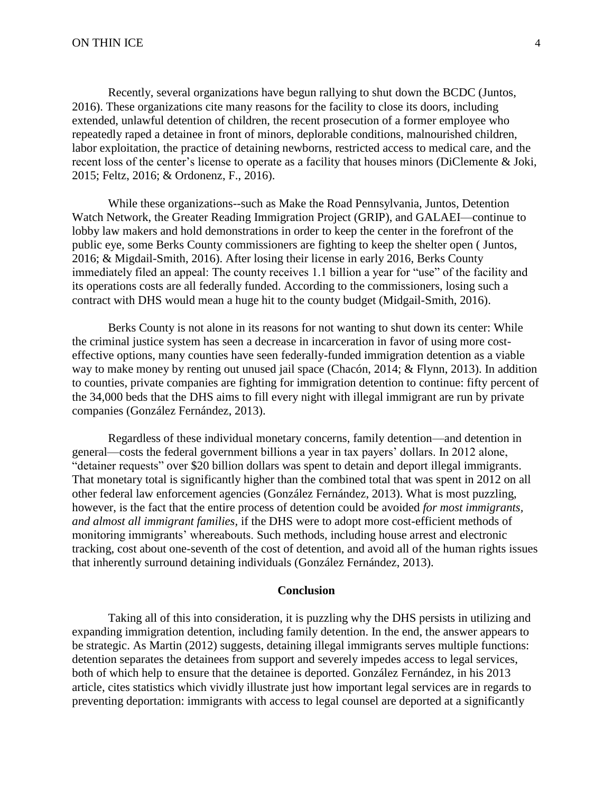Recently, several organizations have begun rallying to shut down the BCDC (Juntos, 2016). These organizations cite many reasons for the facility to close its doors, including extended, unlawful detention of children, the recent prosecution of a former employee who repeatedly raped a detainee in front of minors, deplorable conditions, malnourished children, labor exploitation, the practice of detaining newborns, restricted access to medical care, and the recent loss of the center's license to operate as a facility that houses minors (DiClemente & Joki, 2015; Feltz, 2016; & Ordonenz, F., 2016).

While these organizations--such as Make the Road Pennsylvania, Juntos, Detention Watch Network, the Greater Reading Immigration Project (GRIP), and GALAEI—continue to lobby law makers and hold demonstrations in order to keep the center in the forefront of the public eye, some Berks County commissioners are fighting to keep the shelter open ( Juntos, 2016; & Migdail-Smith, 2016). After losing their license in early 2016, Berks County immediately filed an appeal: The county receives 1.1 billion a year for "use" of the facility and its operations costs are all federally funded. According to the commissioners, losing such a contract with DHS would mean a huge hit to the county budget (Midgail-Smith, 2016).

Berks County is not alone in its reasons for not wanting to shut down its center: While the criminal justice system has seen a decrease in incarceration in favor of using more costeffective options, many counties have seen federally-funded immigration detention as a viable way to make money by renting out unused jail space (Chacón, 2014; & Flynn, 2013). In addition to counties, private companies are fighting for immigration detention to continue: fifty percent of the 34,000 beds that the DHS aims to fill every night with illegal immigrant are run by private companies (González Fernández, 2013).

Regardless of these individual monetary concerns, family detention—and detention in general—costs the federal government billions a year in tax payers' dollars. In 2012 alone, "detainer requests" over \$20 billion dollars was spent to detain and deport illegal immigrants. That monetary total is significantly higher than the combined total that was spent in 2012 on all other federal law enforcement agencies (González Fernández, 2013). What is most puzzling, however, is the fact that the entire process of detention could be avoided *for most immigrants, and almost all immigrant families,* if the DHS were to adopt more cost-efficient methods of monitoring immigrants' whereabouts. Such methods, including house arrest and electronic tracking, cost about one-seventh of the cost of detention, and avoid all of the human rights issues that inherently surround detaining individuals (González Fernández, 2013).

### **Conclusion**

Taking all of this into consideration, it is puzzling why the DHS persists in utilizing and expanding immigration detention, including family detention. In the end, the answer appears to be strategic. As Martin (2012) suggests, detaining illegal immigrants serves multiple functions: detention separates the detainees from support and severely impedes access to legal services, both of which help to ensure that the detainee is deported. González Fernández, in his 2013 article, cites statistics which vividly illustrate just how important legal services are in regards to preventing deportation: immigrants with access to legal counsel are deported at a significantly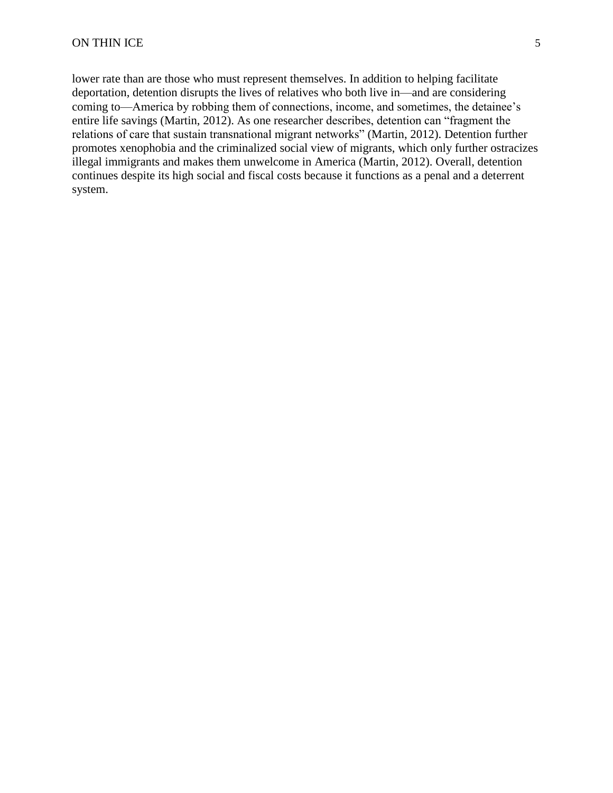lower rate than are those who must represent themselves. In addition to helping facilitate deportation, detention disrupts the lives of relatives who both live in—and are considering coming to—America by robbing them of connections, income, and sometimes, the detainee's entire life savings (Martin, 2012). As one researcher describes, detention can "fragment the relations of care that sustain transnational migrant networks" (Martin, 2012). Detention further promotes xenophobia and the criminalized social view of migrants, which only further ostracizes illegal immigrants and makes them unwelcome in America (Martin, 2012). Overall, detention continues despite its high social and fiscal costs because it functions as a penal and a deterrent system.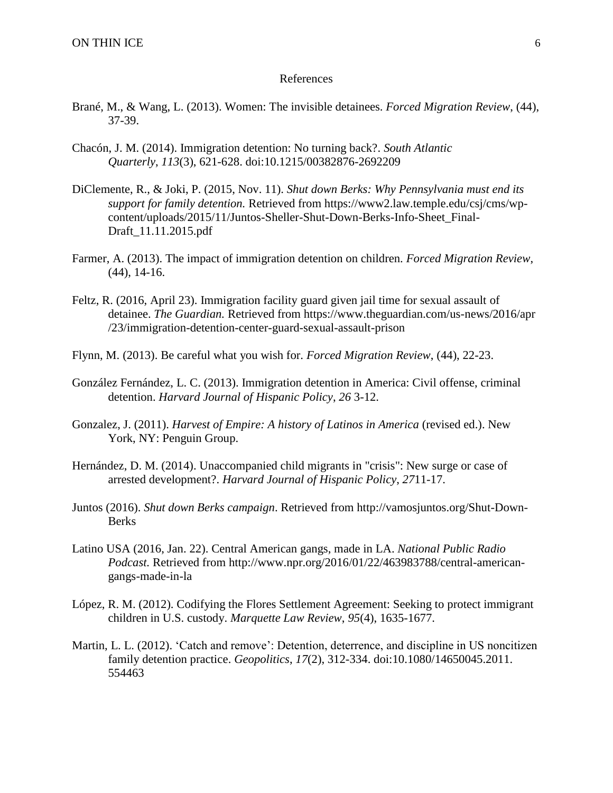#### References

- Brané, M., & Wang, L. (2013). Women: The invisible detainees. *Forced Migration Review*, (44), 37-39.
- Chacón, J. M. (2014). Immigration detention: No turning back?. *South Atlantic Quarterly*, *113*(3), 621-628. doi:10.1215/00382876-2692209
- DiClemente, R., & Joki, P. (2015, Nov. 11). *Shut down Berks: Why Pennsylvania must end its support for family detention.* Retrieved from https://www2.law.temple.edu/csj/cms/wpcontent/uploads/2015/11/Juntos-Sheller-Shut-Down-Berks-Info-Sheet\_Final-Draft\_11.11.2015.pdf
- Farmer, A. (2013). The impact of immigration detention on children. *Forced Migration Review*, (44), 14-16.
- Feltz, R. (2016, April 23). Immigration facility guard given jail time for sexual assault of detainee. *The Guardian.* Retrieved from https://www.theguardian.com/us-news/2016/apr /23/immigration-detention-center-guard-sexual-assault-prison
- Flynn, M. (2013). Be careful what you wish for. *Forced Migration Review*, (44), 22-23.
- González Fernández, L. C. (2013). Immigration detention in America: Civil offense, criminal detention. *Harvard Journal of Hispanic Policy*, *26* 3-12.
- Gonzalez, J. (2011). *Harvest of Empire: A history of Latinos in America* (revised ed.). New York, NY: Penguin Group.
- Hernández, D. M. (2014). Unaccompanied child migrants in "crisis": New surge or case of arrested development?. *Harvard Journal of Hispanic Policy*, *27*11-17.
- Juntos (2016). *Shut down Berks campaign*. Retrieved from http://vamosjuntos.org/Shut-Down-**Berks**
- Latino USA (2016, Jan. 22). Central American gangs, made in LA. *National Public Radio Podcast.* Retrieved from http://www.npr.org/2016/01/22/463983788/central-americangangs-made-in-la
- López, R. M. (2012). Codifying the Flores Settlement Agreement: Seeking to protect immigrant children in U.S. custody. *Marquette Law Review*, *95*(4), 1635-1677.
- Martin, L. L. (2012). 'Catch and remove': Detention, deterrence, and discipline in US noncitizen family detention practice. *Geopolitics*, *17*(2), 312-334. doi:10.1080/14650045.2011. 554463